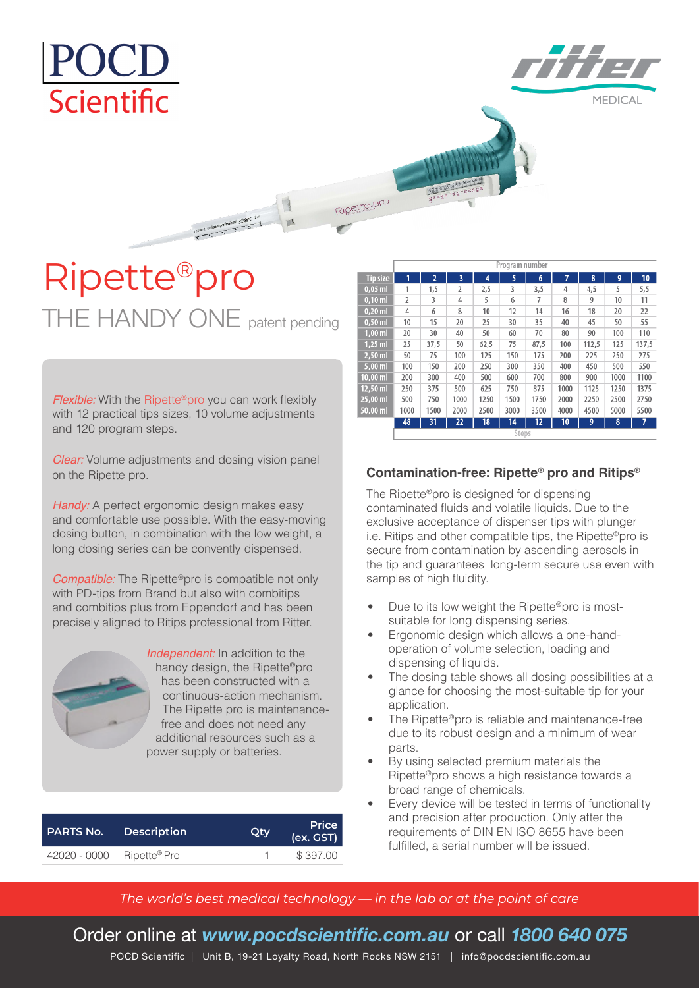# POCL Scientific

**MEDICAL** 

Ripette-pro

## Ripette®pro THE HANDY ONE patent pending

19/18/14 chippen-professional children, 3-m

*Flexible:* With the Ripette<sup>®</sup>pro you can work flexibly with 12 practical tips sizes, 10 volume adjustments and 120 program steps.

*Clear:* Volume adjustments and dosing vision panel on the Ripette pro.

*Handy:* A perfect ergonomic design makes easy and comfortable use possible. With the easy-moving dosing button, in combination with the low weight, a long dosing series can be convently dispensed.

*Compatible:* The Ripette®pro is compatible not only with PD-tips from Brand but also with combitips and combitips plus from Eppendorf and has been precisely aligned to Ritips professional from Ritter.



*Independent:* In addition to the handy design, the Ripette®pro has been constructed with a continuous-action mechanism. The Ripette pro is maintenancefree and does not need any additional resources such as a power supply or batteries.

| <b>PARTS No.</b> | <b>Description</b> |  | <b>Price</b><br>(ex. GST) |  |
|------------------|--------------------|--|---------------------------|--|
| 42020 - 0000     | Ripette® Pro       |  | \$397.00                  |  |

|                    | Program number |                |                |                 |      |                 |      |       |      |       |
|--------------------|----------------|----------------|----------------|-----------------|------|-----------------|------|-------|------|-------|
| <b>Tip size</b>    | 1              | $\overline{a}$ | 3              | 4               | 5    | 6               | 7    | 8     | 9    | 10    |
| $0.05$ ml          | 1              | 1,5            | $\overline{2}$ | 2,5             | 3    | 3,5             | 4    | 4,5   | 5    | 5,5   |
| $0.10$ ml          | 2              | 3              | 4              | 5               | 6    | 7               | 8    | 9     | 10   | 11    |
| $0.20$ ml          | 4              | 6              | 8              | 10              | 12   | 14              | 16   | 18    | 20   | 22    |
| $0,50$ ml          | 10             | 15             | 20             | 25              | 30   | 35              | 40   | 45    | 50   | 55    |
| $1,00$ ml          | 20             | 30             | 40             | 50              | 60   | 70              | 80   | 90    | 100  | 110   |
| $1.25$ ml          | 25             | 37.5           | 50             | 62,5            | 75   | 87.5            | 100  | 112,5 | 125  | 137,5 |
| $2,50$ ml          | 50             | 75             | 100            | 125             | 150  | 175             | 200  | 225   | 250  | 275   |
| $5,00$ ml          | 100            | 150            | 200            | 250             | 300  | 350             | 400  | 450   | 500  | 550   |
| $10.00$ ml         | 200            | 300            | 400            | 500             | 600  | 700             | 800  | 900   | 1000 | 1100  |
| $12,50$ ml         | 250            | 375            | 500            | 625             | 750  | 875             | 1000 | 1125  | 1250 | 1375  |
| $25,00 \text{ ml}$ | 500            | 750            | 1000           | 1250            | 1500 | 1750            | 2000 | 2250  | 2500 | 2750  |
| 50,00 ml           | 1000           | 1500           | 2000           | 2500            | 3000 | 3500            | 4000 | 4500  | 5000 | 5500  |
|                    | 48             | 31             | 22             | $\overline{18}$ | 14   | $\overline{12}$ | 10   | 9     | 8    | 7     |
|                    | Steps          |                |                |                 |      |                 |      |       |      |       |

#### **Contamination-free: Ripette® pro and Ritips®**

The Ripette®pro is designed for dispensing contaminated fluids and volatile liquids. Due to the exclusive acceptance of dispenser tips with plunger i.e. Ritips and other compatible tips, the Ripette®pro is secure from contamination by ascending aerosols in the tip and guarantees long-term secure use even with samples of high fluidity.

- Due to its low weight the Ripette®pro is mostsuitable for long dispensing series.
- Ergonomic design which allows a one-handoperation of volume selection, loading and dispensing of liquids.
- The dosing table shows all dosing possibilities at a glance for choosing the most-suitable tip for your application.
- The Ripette®pro is reliable and maintenance-free due to its robust design and a minimum of wear parts.
- By using selected premium materials the Ripette®pro shows a high resistance towards a broad range of chemicals.
- Every device will be tested in terms of functionality and precision after production. Only after the requirements of DIN EN ISO 8655 have been fulfilled, a serial number will be issued.

### *The world's best medical technology — in the lab or at the point of care*

## Order online at *www.pocdscientific.com.au* or call *1800 640 075*

POCD Scientific | Unit B, 19-21 Loyalty Road, North Rocks NSW 2151 | info@pocdscientific.com.au